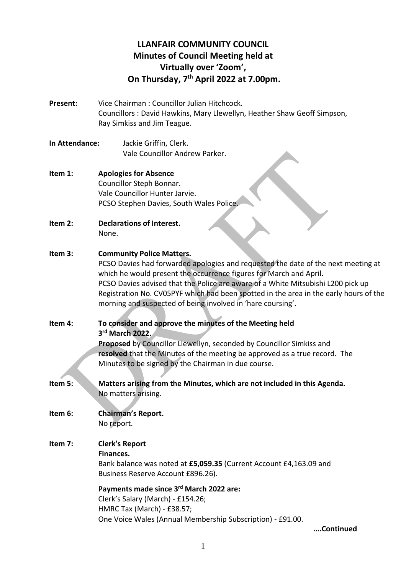# **LLANFAIR COMMUNITY COUNCIL Minutes of Council Meeting held at Virtually over 'Zoom', On Thursday, 7 th April 2022 at 7.00pm.**

- **Present:** Vice Chairman : Councillor Julian Hitchcock. Councillors : David Hawkins, Mary Llewellyn, Heather Shaw Geoff Simpson, Ray Simkiss and Jim Teague.
- **In Attendance:** Jackie Griffin, Clerk. Vale Councillor Andrew Parker.
- **Item 1: Apologies for Absence** Councillor Steph Bonnar. Vale Councillor Hunter Jarvie. PCSO Stephen Davies, South Wales Police.
- **Item 2: Declarations of Interest.** None.
- **Item 3: Community Police Matters.**

PCSO Davies had forwarded apologies and requested the date of the next meeting at which he would present the occurrence figures for March and April. PCSO Davies advised that the Police are aware of a White Mitsubishi L200 pick up Registration No. CV05PYF which had been spotted in the area in the early hours of the morning and suspected of being involved in 'hare coursing'.

**Item 4: To consider and approve the minutes of the Meeting held 3 rd March 2022. Proposed** by Councillor Llewellyn, seconded by Councillor Simkiss and **resolved** that the Minutes of the meeting be approved as a true record. The Minutes to be signed by the Chairman in due course.

- **Item 5: Matters arising from the Minutes, which are not included in this Agenda.** No matters arising.
- **Item 6: Chairman's Report.** No report.
- **Item 7: Clerk's Report Finances.** Bank balance was noted at **£5,059.35** (Current Account £4,163.09 and Business Reserve Account £896.26).

**Payments made since 3 rd March 2022 are:** Clerk's Salary (March) - £154.26; HMRC Tax (March) - £38.57; One Voice Wales (Annual Membership Subscription) - £91.00.

**….Continued**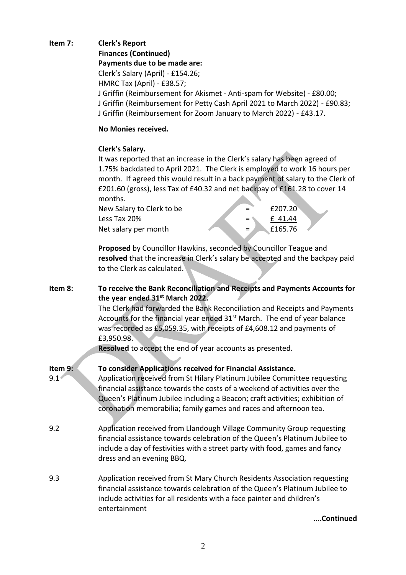## **Item 7: Clerk's Report Finances (Continued) Payments due to be made are:**  Clerk's Salary (April) - £154.26; HMRC Tax (April) - £38.57; J Griffin (Reimbursement for Akismet - Anti-spam for Website) - £80.00; J Griffin (Reimbursement for Petty Cash April 2021 to March 2022) - £90.83; J Griffin (Reimbursement for Zoom January to March 2022) - £43.17.

## **No Monies received.**

### **Clerk's Salary.**

It was reported that an increase in the Clerk's salary has been agreed of 1.75% backdated to April 2021. The Clerk is employed to work 16 hours per month. If agreed this would result in a back payment of salary to the Clerk of £201.60 (gross), less Tax of £40.32 and net backpay of £161.28 to cover 14 months.

| $=$       | £207.20 |  |
|-----------|---------|--|
|           | £41.44  |  |
| <b>Е.</b> | £165.76 |  |
|           |         |  |

**Proposed** by Councillor Hawkins, seconded by Councillor Teague and **resolved** that the increase in Clerk's salary be accepted and the backpay paid to the Clerk as calculated.

## **Item 8: To receive the Bank Reconciliation and Receipts and Payments Accounts for the year ended 31st March 2022.**

The Clerk had forwarded the Bank Reconciliation and Receipts and Payments Accounts for the financial year ended 31<sup>st</sup> March. The end of year balance was recorded as £5,059.35, with receipts of £4,608.12 and payments of £3,950.98.

**Resolved** to accept the end of year accounts as presented.

## **Item 9: To consider Applications received for Financial Assistance.**

- 9.1 Application received from St Hilary Platinum Jubilee Committee requesting financial assistance towards the costs of a weekend of activities over the Queen's Platinum Jubilee including a Beacon; craft activities; exhibition of coronation memorabilia; family games and races and afternoon tea.
- 9.2 Application received from Llandough Village Community Group requesting financial assistance towards celebration of the Queen's Platinum Jubilee to include a day of festivities with a street party with food, games and fancy dress and an evening BBQ.
- 9.3 Application received from St Mary Church Residents Association requesting financial assistance towards celebration of the Queen's Platinum Jubilee to include activities for all residents with a face painter and children's entertainment

**….Continued**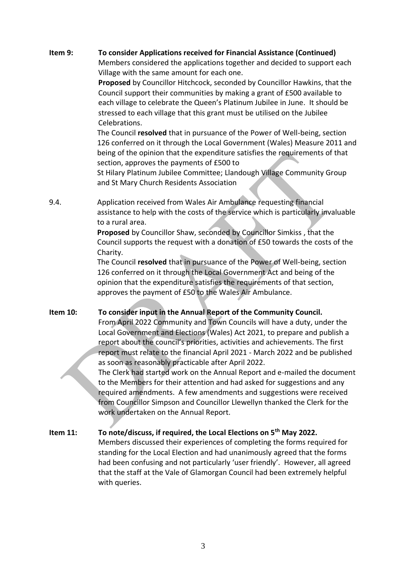## **Item 9: To consider Applications received for Financial Assistance (Continued)**

Members considered the applications together and decided to support each Village with the same amount for each one.

**Proposed** by Councillor Hitchcock, seconded by Councillor Hawkins, that the Council support their communities by making a grant of £500 available to each village to celebrate the Queen's Platinum Jubilee in June. It should be stressed to each village that this grant must be utilised on the Jubilee Celebrations.

The Council **resolved** that in pursuance of the Power of Well-being, section 126 conferred on it through the Local Government (Wales) Measure 2011 and being of the opinion that the expenditure satisfies the requirements of that section, approves the payments of £500 to

St Hilary Platinum Jubilee Committee; Llandough Village Community Group and St Mary Church Residents Association

9.4. Application received from Wales Air Ambulance requesting financial assistance to help with the costs of the service which is particularly invaluable to a rural area.

> **Proposed** by Councillor Shaw, seconded by Councillor Simkiss , that the Council supports the request with a donation of £50 towards the costs of the Charity.

The Council **resolved** that in pursuance of the Power of Well-being, section 126 conferred on it through the Local Government Act and being of the opinion that the expenditure satisfies the requirements of that section, approves the payment of £50 to the Wales Air Ambulance.

**Item 10: To consider input in the Annual Report of the Community Council.**

From April 2022 Community and Town Councils will have a duty, under the Local Government and Elections (Wales) Act 2021, to prepare and publish a report about the council's priorities, activities and achievements. The first report must relate to the financial April 2021 - March 2022 and be published as soon as reasonably practicable after April 2022.

The Clerk had started work on the Annual Report and e-mailed the document to the Members for their attention and had asked for suggestions and any required amendments. A few amendments and suggestions were received from Councillor Simpson and Councillor Llewellyn thanked the Clerk for the work undertaken on the Annual Report.

**Item 11: To note/discuss, if required, the Local Elections on 5th May 2022.** Members discussed their experiences of completing the forms required for standing for the Local Election and had unanimously agreed that the forms had been confusing and not particularly 'user friendly'. However, all agreed that the staff at the Vale of Glamorgan Council had been extremely helpful with queries.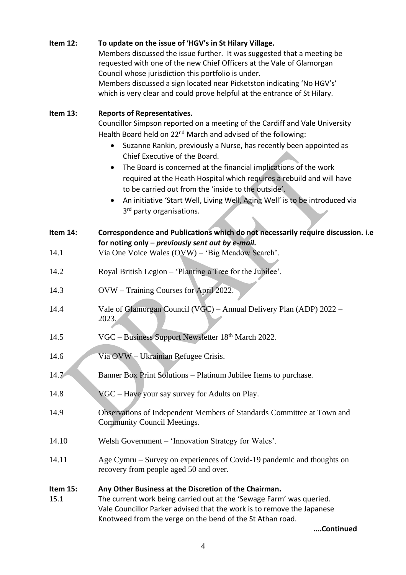| Item 12:         | To update on the issue of 'HGV's in St Hilary Village.<br>Members discussed the issue further. It was suggested that a meeting be<br>requested with one of the new Chief Officers at the Vale of Glamorgan<br>Council whose jurisdiction this portfolio is under.<br>Members discussed a sign located near Picketston indicating 'No HGV's'<br>which is very clear and could prove helpful at the entrance of St Hilary.                                                                                                                                                                                                                                   |
|------------------|------------------------------------------------------------------------------------------------------------------------------------------------------------------------------------------------------------------------------------------------------------------------------------------------------------------------------------------------------------------------------------------------------------------------------------------------------------------------------------------------------------------------------------------------------------------------------------------------------------------------------------------------------------|
| Item 13:         | <b>Reports of Representatives.</b><br>Councillor Simpson reported on a meeting of the Cardiff and Vale University<br>Health Board held on 22 <sup>nd</sup> March and advised of the following:<br>Suzanne Rankin, previously a Nurse, has recently been appointed as<br>Chief Executive of the Board.<br>The Board is concerned at the financial implications of the work<br>$\bullet$<br>required at the Heath Hospital which requires a rebuild and will have<br>to be carried out from the 'inside to the outside'.<br>An initiative 'Start Well, Living Well, Aging Well' is to be introduced via<br>$\bullet$<br>3 <sup>rd</sup> party organisations. |
| Item 14:<br>14.1 | Correspondence and Publications which do not necessarily require discussion. i.e<br>for noting only - previously sent out by e-mail.<br>Via One Voice Wales (OVW) - 'Big Meadow Search'.                                                                                                                                                                                                                                                                                                                                                                                                                                                                   |
| 14.2             | Royal British Legion - 'Planting a Tree for the Jubilee'.                                                                                                                                                                                                                                                                                                                                                                                                                                                                                                                                                                                                  |
| 14.3             | OVW - Training Courses for April 2022.                                                                                                                                                                                                                                                                                                                                                                                                                                                                                                                                                                                                                     |
| 14.4             | Vale of Glamorgan Council (VGC) – Annual Delivery Plan (ADP) 2022 –<br>2023.                                                                                                                                                                                                                                                                                                                                                                                                                                                                                                                                                                               |
| 14.5             | VGC - Business Support Newsletter 18th March 2022.                                                                                                                                                                                                                                                                                                                                                                                                                                                                                                                                                                                                         |
| 14.6             | Via OVW - Ukrainian Refugee Crisis.                                                                                                                                                                                                                                                                                                                                                                                                                                                                                                                                                                                                                        |
| 14.7             | Banner Box Print Solutions - Platinum Jubilee Items to purchase.                                                                                                                                                                                                                                                                                                                                                                                                                                                                                                                                                                                           |
| 14.8             | VGC - Have your say survey for Adults on Play.                                                                                                                                                                                                                                                                                                                                                                                                                                                                                                                                                                                                             |
| 14.9             | Observations of Independent Members of Standards Committee at Town and<br><b>Community Council Meetings.</b>                                                                                                                                                                                                                                                                                                                                                                                                                                                                                                                                               |
| 14.10            | Welsh Government - 'Innovation Strategy for Wales'.                                                                                                                                                                                                                                                                                                                                                                                                                                                                                                                                                                                                        |
| 14.11            | Age Cymru – Survey on experiences of Covid-19 pandemic and thoughts on<br>recovery from people aged 50 and over.                                                                                                                                                                                                                                                                                                                                                                                                                                                                                                                                           |
| Item 15:<br>15.1 | Any Other Business at the Discretion of the Chairman.<br>The current work being carried out at the 'Sewage Farm' was queried.<br>Vale Councillor Parker advised that the work is to remove the Japanese<br>Knotweed from the verge on the bend of the St Athan road.<br>Continued                                                                                                                                                                                                                                                                                                                                                                          |

4